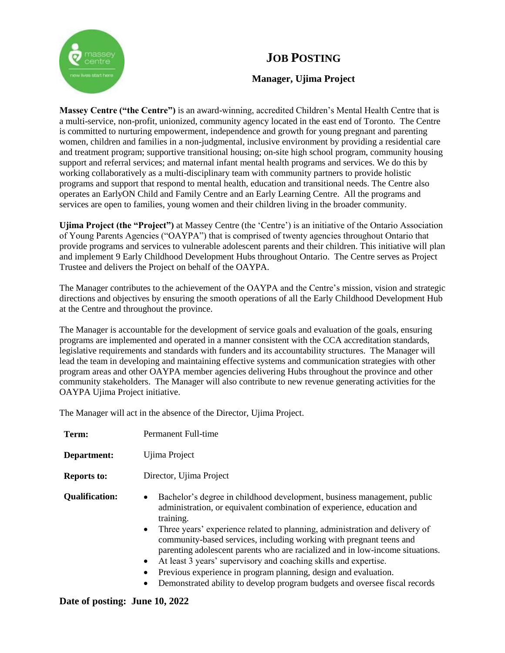

# **JOB POSTING**

## **Manager, Ujima Project**

**Massey Centre ("the Centre")** is an award-winning, accredited Children's Mental Health Centre that is a multi-service, non-profit, unionized, community agency located in the east end of Toronto. The Centre is committed to nurturing empowerment, independence and growth for young pregnant and parenting women, children and families in a non-judgmental, inclusive environment by providing a residential care and treatment program; supportive transitional housing; on-site high school program, community housing support and referral services; and maternal infant mental health programs and services. We do this by working collaboratively as a multi-disciplinary team with community partners to provide holistic programs and support that respond to mental health, education and transitional needs. The Centre also operates an EarlyON Child and Family Centre and an Early Learning Centre. All the programs and services are open to families, young women and their children living in the broader community.

**Ujima Project (the "Project")** at Massey Centre (the 'Centre') is an initiative of the Ontario Association of Young Parents Agencies ("OAYPA") that is comprised of twenty agencies throughout Ontario that provide programs and services to vulnerable adolescent parents and their children. This initiative will plan and implement 9 Early Childhood Development Hubs throughout Ontario. The Centre serves as Project Trustee and delivers the Project on behalf of the OAYPA.

The Manager contributes to the achievement of the OAYPA and the Centre's mission, vision and strategic directions and objectives by ensuring the smooth operations of all the Early Childhood Development Hub at the Centre and throughout the province.

The Manager is accountable for the development of service goals and evaluation of the goals, ensuring programs are implemented and operated in a manner consistent with the CCA accreditation standards, legislative requirements and standards with funders and its accountability structures. The Manager will lead the team in developing and maintaining effective systems and communication strategies with other program areas and other OAYPA member agencies delivering Hubs throughout the province and other community stakeholders. The Manager will also contribute to new revenue generating activities for the OAYPA Ujima Project initiative.

The Manager will act in the absence of the Director, Ujima Project.

| Term:                 | Permanent Full-time                                                                                                                                                                                                                                                                                                                                                                                                                                                                                                                                                                                                                                                                 |
|-----------------------|-------------------------------------------------------------------------------------------------------------------------------------------------------------------------------------------------------------------------------------------------------------------------------------------------------------------------------------------------------------------------------------------------------------------------------------------------------------------------------------------------------------------------------------------------------------------------------------------------------------------------------------------------------------------------------------|
| Department:           | Ujima Project                                                                                                                                                                                                                                                                                                                                                                                                                                                                                                                                                                                                                                                                       |
| <b>Reports to:</b>    | Director, Ujima Project                                                                                                                                                                                                                                                                                                                                                                                                                                                                                                                                                                                                                                                             |
| <b>Qualification:</b> | Bachelor's degree in childhood development, business management, public<br>$\bullet$<br>administration, or equivalent combination of experience, education and<br>training.<br>Three years' experience related to planning, administration and delivery of<br>$\bullet$<br>community-based services, including working with pregnant teens and<br>parenting adolescent parents who are racialized and in low-income situations.<br>At least 3 years' supervisory and coaching skills and expertise.<br>$\bullet$<br>Previous experience in program planning, design and evaluation.<br>٠<br>Demonstrated ability to develop program budgets and oversee fiscal records<br>$\bullet$ |